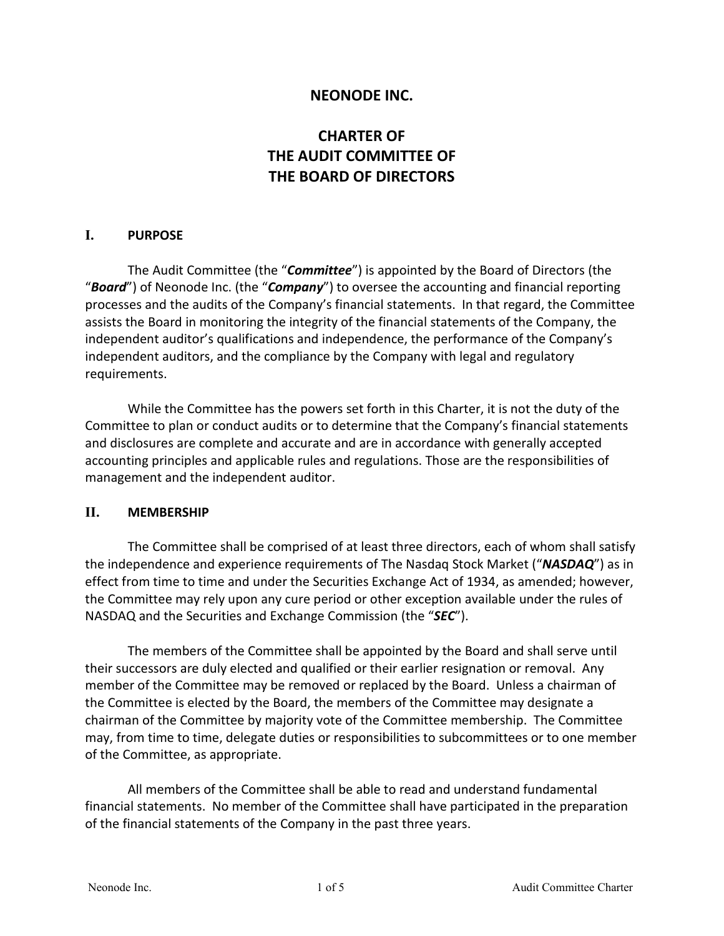#### **NEONODE INC.**

# **CHARTER OF THE AUDIT COMMITTEE OF THE BOARD OF DIRECTORS**

#### **I. PURPOSE**

The Audit Committee (the "*Committee*") is appointed by the Board of Directors (the "*Board*") of Neonode Inc. (the "*Company*") to oversee the accounting and financial reporting processes and the audits of the Company's financial statements. In that regard, the Committee assists the Board in monitoring the integrity of the financial statements of the Company, the independent auditor's qualifications and independence, the performance of the Company's independent auditors, and the compliance by the Company with legal and regulatory requirements.

While the Committee has the powers set forth in this Charter, it is not the duty of the Committee to plan or conduct audits or to determine that the Company's financial statements and disclosures are complete and accurate and are in accordance with generally accepted accounting principles and applicable rules and regulations. Those are the responsibilities of management and the independent auditor.

#### **II. MEMBERSHIP**

The Committee shall be comprised of at least three directors, each of whom shall satisfy the independence and experience requirements of The Nasdaq Stock Market ("*NASDAQ*") as in effect from time to time and under the Securities Exchange Act of 1934, as amended; however, the Committee may rely upon any cure period or other exception available under the rules of NASDAQ and the Securities and Exchange Commission (the "*SEC*").

The members of the Committee shall be appointed by the Board and shall serve until their successors are duly elected and qualified or their earlier resignation or removal. Any member of the Committee may be removed or replaced by the Board. Unless a chairman of the Committee is elected by the Board, the members of the Committee may designate a chairman of the Committee by majority vote of the Committee membership. The Committee may, from time to time, delegate duties or responsibilities to subcommittees or to one member of the Committee, as appropriate.

All members of the Committee shall be able to read and understand fundamental financial statements. No member of the Committee shall have participated in the preparation of the financial statements of the Company in the past three years.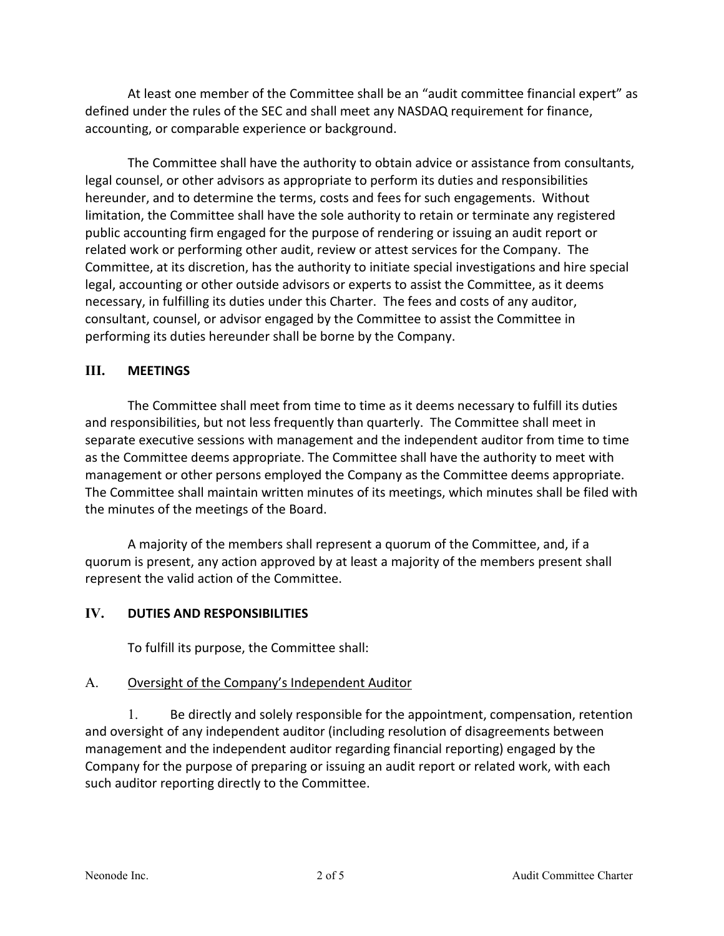At least one member of the Committee shall be an "audit committee financial expert" as defined under the rules of the SEC and shall meet any NASDAQ requirement for finance, accounting, or comparable experience or background.

The Committee shall have the authority to obtain advice or assistance from consultants, legal counsel, or other advisors as appropriate to perform its duties and responsibilities hereunder, and to determine the terms, costs and fees for such engagements. Without limitation, the Committee shall have the sole authority to retain or terminate any registered public accounting firm engaged for the purpose of rendering or issuing an audit report or related work or performing other audit, review or attest services for the Company. The Committee, at its discretion, has the authority to initiate special investigations and hire special legal, accounting or other outside advisors or experts to assist the Committee, as it deems necessary, in fulfilling its duties under this Charter. The fees and costs of any auditor, consultant, counsel, or advisor engaged by the Committee to assist the Committee in performing its duties hereunder shall be borne by the Company.

#### **III. MEETINGS**

The Committee shall meet from time to time as it deems necessary to fulfill its duties and responsibilities, but not less frequently than quarterly. The Committee shall meet in separate executive sessions with management and the independent auditor from time to time as the Committee deems appropriate. The Committee shall have the authority to meet with management or other persons employed the Company as the Committee deems appropriate. The Committee shall maintain written minutes of its meetings, which minutes shall be filed with the minutes of the meetings of the Board.

A majority of the members shall represent a quorum of the Committee, and, if a quorum is present, any action approved by at least a majority of the members present shall represent the valid action of the Committee.

### **IV. DUTIES AND RESPONSIBILITIES**

To fulfill its purpose, the Committee shall:

### A. Oversight of the Company's Independent Auditor

1. Be directly and solely responsible for the appointment, compensation, retention and oversight of any independent auditor (including resolution of disagreements between management and the independent auditor regarding financial reporting) engaged by the Company for the purpose of preparing or issuing an audit report or related work, with each such auditor reporting directly to the Committee.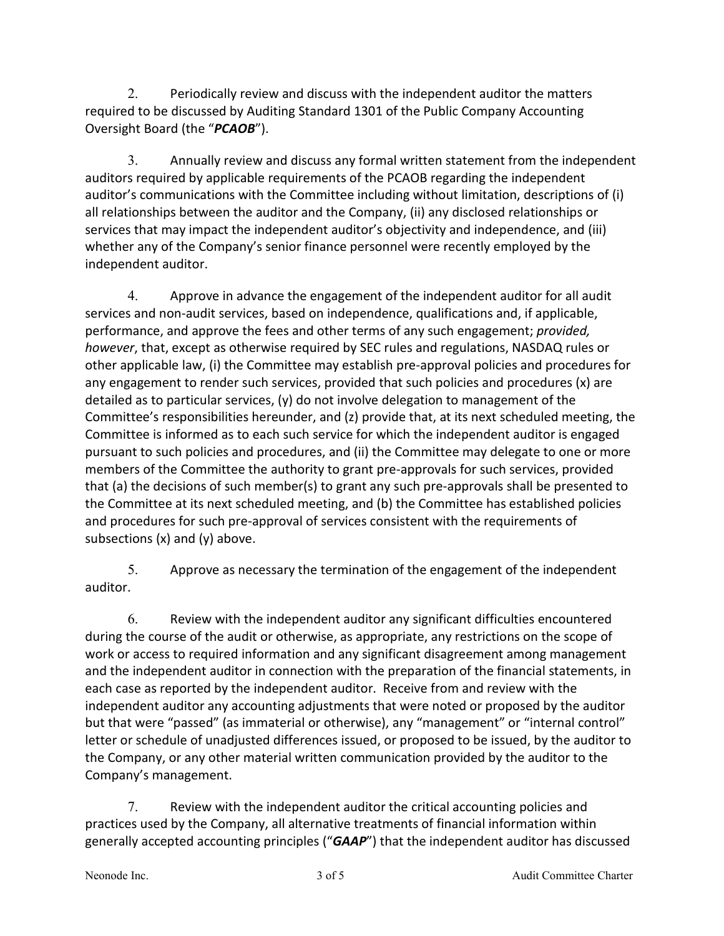2. Periodically review and discuss with the independent auditor the matters required to be discussed by Auditing Standard 1301 of the Public Company Accounting Oversight Board (the "*PCAOB*").

3. Annually review and discuss any formal written statement from the independent auditors required by applicable requirements of the PCAOB regarding the independent auditor's communications with the Committee including without limitation, descriptions of (i) all relationships between the auditor and the Company, (ii) any disclosed relationships or services that may impact the independent auditor's objectivity and independence, and (iii) whether any of the Company's senior finance personnel were recently employed by the independent auditor.

4. Approve in advance the engagement of the independent auditor for all audit services and non-audit services, based on independence, qualifications and, if applicable, performance, and approve the fees and other terms of any such engagement; *provided, however*, that, except as otherwise required by SEC rules and regulations, NASDAQ rules or other applicable law, (i) the Committee may establish pre-approval policies and procedures for any engagement to render such services, provided that such policies and procedures (x) are detailed as to particular services, (y) do not involve delegation to management of the Committee's responsibilities hereunder, and (z) provide that, at its next scheduled meeting, the Committee is informed as to each such service for which the independent auditor is engaged pursuant to such policies and procedures, and (ii) the Committee may delegate to one or more members of the Committee the authority to grant pre-approvals for such services, provided that (a) the decisions of such member(s) to grant any such pre-approvals shall be presented to the Committee at its next scheduled meeting, and (b) the Committee has established policies and procedures for such pre-approval of services consistent with the requirements of subsections (x) and (y) above.

5. Approve as necessary the termination of the engagement of the independent auditor.

6. Review with the independent auditor any significant difficulties encountered during the course of the audit or otherwise, as appropriate, any restrictions on the scope of work or access to required information and any significant disagreement among management and the independent auditor in connection with the preparation of the financial statements, in each case as reported by the independent auditor. Receive from and review with the independent auditor any accounting adjustments that were noted or proposed by the auditor but that were "passed" (as immaterial or otherwise), any "management" or "internal control" letter or schedule of unadjusted differences issued, or proposed to be issued, by the auditor to the Company, or any other material written communication provided by the auditor to the Company's management.

7. Review with the independent auditor the critical accounting policies and practices used by the Company, all alternative treatments of financial information within generally accepted accounting principles ("*GAAP*") that the independent auditor has discussed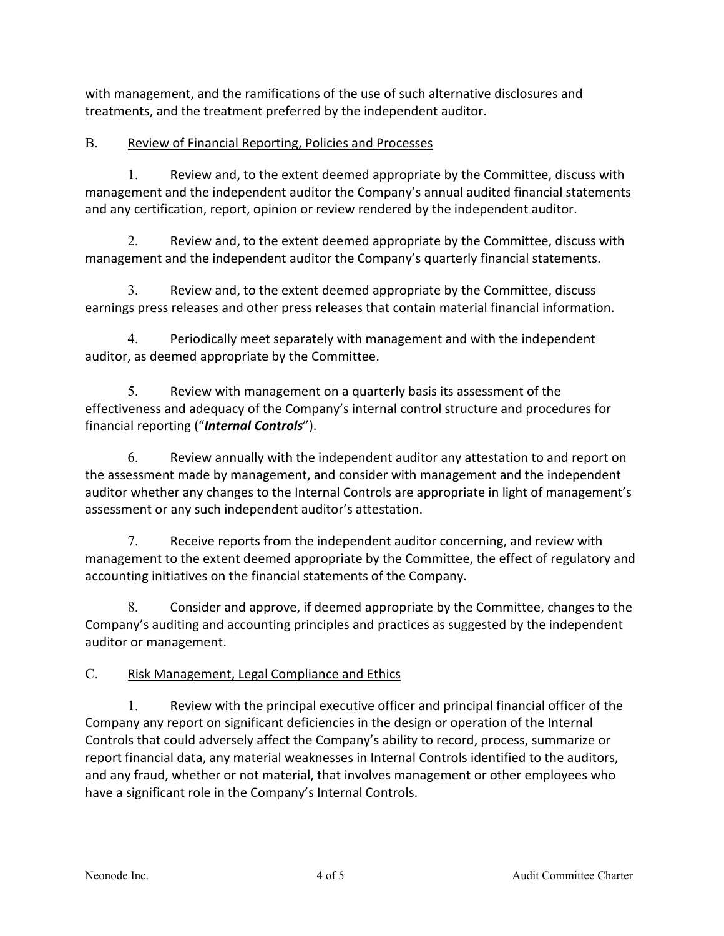with management, and the ramifications of the use of such alternative disclosures and treatments, and the treatment preferred by the independent auditor.

## B. Review of Financial Reporting, Policies and Processes

1. Review and, to the extent deemed appropriate by the Committee, discuss with management and the independent auditor the Company's annual audited financial statements and any certification, report, opinion or review rendered by the independent auditor.

2. Review and, to the extent deemed appropriate by the Committee, discuss with management and the independent auditor the Company's quarterly financial statements.

3. Review and, to the extent deemed appropriate by the Committee, discuss earnings press releases and other press releases that contain material financial information.

4. Periodically meet separately with management and with the independent auditor, as deemed appropriate by the Committee.

5. Review with management on a quarterly basis its assessment of the effectiveness and adequacy of the Company's internal control structure and procedures for financial reporting ("*Internal Controls*").

6. Review annually with the independent auditor any attestation to and report on the assessment made by management, and consider with management and the independent auditor whether any changes to the Internal Controls are appropriate in light of management's assessment or any such independent auditor's attestation.

7. Receive reports from the independent auditor concerning, and review with management to the extent deemed appropriate by the Committee, the effect of regulatory and accounting initiatives on the financial statements of the Company.

8. Consider and approve, if deemed appropriate by the Committee, changes to the Company's auditing and accounting principles and practices as suggested by the independent auditor or management.

# C. Risk Management, Legal Compliance and Ethics

1. Review with the principal executive officer and principal financial officer of the Company any report on significant deficiencies in the design or operation of the Internal Controls that could adversely affect the Company's ability to record, process, summarize or report financial data, any material weaknesses in Internal Controls identified to the auditors, and any fraud, whether or not material, that involves management or other employees who have a significant role in the Company's Internal Controls.